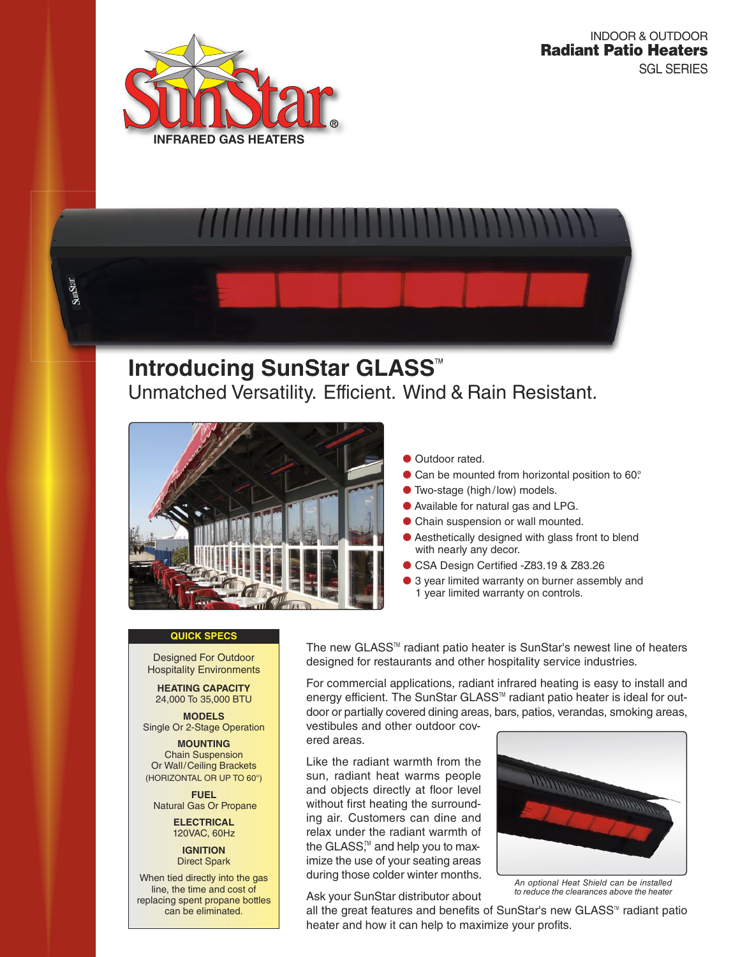

SunStar



# **Introducing SunStar GLASS<sup>™</sup>** Unmatched Versatility. Efficient. Wind & Rain Resistant.



## **Outdoor rated.**

- Can be mounted from horizontal position to 60°.
- **Two-stage (high/low) models.**
- Available for natural gas and LPG.
- Chain suspension or wall mounted.
- Aesthetically designed with glass front to blend with nearly any decor.
- CSA Design Certified -Z83.19 & Z83.26
- 3 year limited warranty on burner assembly and 1 year limited warranty on controls.

# **QUICK SPECS**

Designed For Outdoor Hospitality Environments

**HEATING CAPACITY**  24,000 To 35,000 BTU

**MODELS**  Single Or 2-Stage Operation

**MOUNTING**  Chain Suspension Or Wall/Ceiling Brackets (HORIZONTAL OR UP TO 60°)

**FUEL**  Natural Gas Or Propane

> **ELECTRICAL**  120VAC, 60Hz

> > **IGNITION**  Direct Spark

When tied directly into the gas line, the time and cost of replacing spent propane bottles can be eliminated.

The new GLASS<sup>™</sup> radiant patio heater is SunStar's newest line of heaters designed for restaurants and other hospitality service industries.

For commercial applications, radiant infrared heating is easy to install and energy efficient. The SunStar GLASS<sup>™</sup> radiant patio heater is ideal for outdoor or partially covered dining areas, bars, patios, verandas, smoking areas,

vestibules and other outdoor covered areas.

Like the radiant warmth from the sun, radiant heat warms people and objects directly at floor level without first heating the surrounding air. Customers can dine and relax under the radiant warmth of the GLASS,™ and help you to maximize the use of your seating areas during those colder winter months.

Ask your SunStar distributor about



An optional Heat Shield can be installed to reduce the clearances above the heater

all the great features and benefits of SunStar's new GLASS<sup>TM</sup> radiant patio heater and how it can help to maximize your profits.